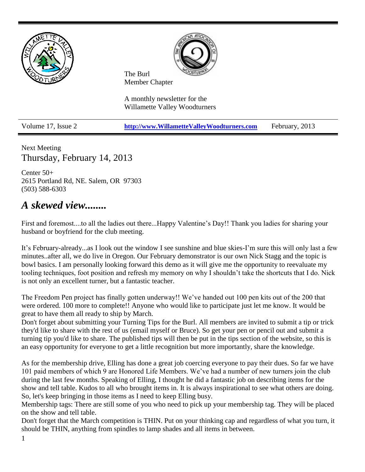

Next Meeting Thursday, February 14, 2013

Center 50+ 2615 Portland Rd, NE. Salem, OR 97303 (503) 588-6303

## *A skewed view........*

First and foremost....to all the ladies out there...Happy Valentine's Day!! Thank you ladies for sharing your husband or boyfriend for the club meeting.

It's February-already...as I look out the window I see sunshine and blue skies-I'm sure this will only last a few minutes..after all, we do live in Oregon. Our February demonstrator is our own Nick Stagg and the topic is bowl basics. I am personally looking forward this demo as it will give me the opportunity to reevaluate my tooling techniques, foot position and refresh my memory on why I shouldn't take the shortcuts that I do. Nick is not only an excellent turner, but a fantastic teacher.

The Freedom Pen project has finally gotten underway!! We've handed out 100 pen kits out of the 200 that were ordered. 100 more to complete!! Anyone who would like to participate just let me know. It would be great to have them all ready to ship by March.

Don't forget about submitting your Turning Tips for the Burl. All members are invited to submit a tip or trick they'd like to share with the rest of us (email myself or Bruce). So get your pen or pencil out and submit a turning tip you'd like to share. The published tips will then be put in the tips section of the website, so this is an easy opportunity for everyone to get a little recognition but more importantly, share the knowledge.

As for the membership drive, Elling has done a great job coercing everyone to pay their dues. So far we have 101 paid members of which 9 are Honored Life Members. We've had a number of new turners join the club during the last few months. Speaking of Elling, I thought he did a fantastic job on describing items for the show and tell table. Kudos to all who brought items in. It is always inspirational to see what others are doing. So, let's keep bringing in those items as I need to keep Elling busy.

Membership tags: There are still some of you who need to pick up your membership tag. They will be placed on the show and tell table.

Don't forget that the March competition is THIN. Put on your thinking cap and regardless of what you turn, it should be THIN, anything from spindles to lamp shades and all items in between.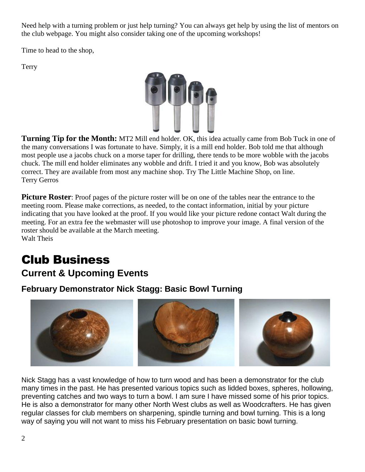Need help with a turning problem or just help turning? You can always get help by using the list of mentors on the club webpage. You might also consider taking one of the upcoming workshops!

Time to head to the shop,

Terry



**Turning Tip for the Month:** MT2 Mill end holder. OK, this idea actually came from Bob Tuck in one of the many conversations I was fortunate to have. Simply, it is a mill end holder. Bob told me that although most people use a jacobs chuck on a morse taper for drilling, there tends to be more wobble with the jacobs chuck. The mill end holder eliminates any wobble and drift. I tried it and you know, Bob was absolutely correct. They are available from most any machine shop. Try The Little Machine Shop, on line. Terry Gerros

**Picture Roster**: Proof pages of the picture roster will be on one of the tables near the entrance to the meeting room. Please make corrections, as needed, to the contact information, initial by your picture indicating that you have looked at the proof. If you would like your picture redone contact Walt during the meeting. For an extra fee the webmaster will use photoshop to improve your image. A final version of the roster should be available at the March meeting. Walt Theis

# Club Business **Current & Upcoming Events**

## **February Demonstrator Nick Stagg: Basic Bowl Turning**



Nick Stagg has a vast knowledge of how to turn wood and has been a demonstrator for the club many times in the past. He has presented various topics such as lidded boxes, spheres, hollowing, preventing catches and two ways to turn a bowl. I am sure I have missed some of his prior topics. He is also a demonstrator for many other North West clubs as well as Woodcrafters. He has given regular classes for club members on sharpening, spindle turning and bowl turning. This is a long way of saying you will not want to miss his February presentation on basic bowl turning.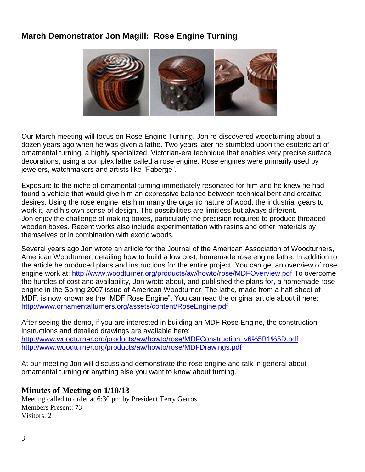## **March Demonstrator Jon Magill: Rose Engine Turning**



Our March meeting will focus on Rose Engine Turning. Jon re-discovered woodturning about a dozen years ago when he was given a lathe. Two years later he stumbled upon the esoteric art of ornamental turning, a highly specialized, Victorian-era technique that enables very precise surface decorations, using a complex lathe called a rose engine. Rose engines were primarily used by jewelers, watchmakers and artists like "Faberge".

Exposure to the niche of ornamental turning immediately resonated for him and he knew he had found a vehicle that would give him an expressive balance between technical bent and creative desires. Using the rose engine lets him marry the organic nature of wood, the industrial gears to work it, and his own sense of design. The possibilities are limitless but always different. Jon enjoy the challenge of making boxes, particularly the precision required to produce threaded wooden boxes. Recent works also include experimentation with resins and other materials by themselves or in combination with exotic woods.

Several years ago Jon wrote an article for the Journal of the American Association of Woodturners, American Woodturner, detailing how to build a low cost, homemade rose engine lathe. In addition to the article he produced plans and instructions for the entire project. You can get an overview of rose engine work at:<http://www.woodturner.org/products/aw/howto/rose/MDFOverview.pdf> To overcome the hurdles of cost and availability, Jon wrote about, and published the plans for, a homemade rose engine in the Spring 2007 issue of American Woodturner. The lathe, made from a half-sheet of MDF, is now known as the "MDF Rose Engine". You can read the original article about it here: <http://www.ornamentalturners.org/assets/content/RoseEngine.pdf>

After seeing the demo, if you are interested in building an MDF Rose Engine, the construction instructions and detailed drawings are available here: [http://www.woodturner.org/products/aw/howto/rose/MDFConstruction\\_v6%5B1%5D.pdf](http://www.woodturner.org/products/aw/howto/rose/MDFConstruction_v6%5B1%5D.pdf)  <http://www.woodturner.org/products/aw/howto/rose/MDFDrawings.pdf>

At our meeting Jon will discuss and demonstrate the rose engine and talk in general about ornamental turning or anything else you want to know about turning.

### **Minutes of Meeting on 1/10/13**

Meeting called to order at 6:30 pm by President Terry Gerros Members Present: 73 Visitors: 2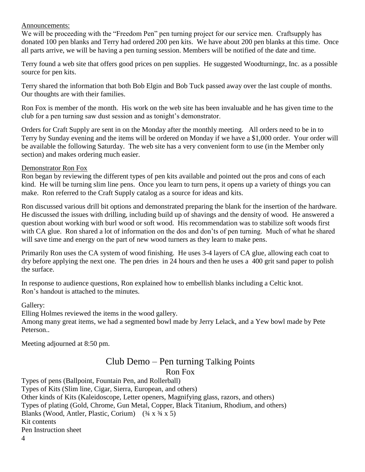#### Announcements:

We will be proceeding with the "Freedom Pen" pen turning project for our service men. Craftsupply has donated 100 pen blanks and Terry had ordered 200 pen kits. We have about 200 pen blanks at this time. Once all parts arrive, we will be having a pen turning session. Members will be notified of the date and time.

Terry found a web site that offers good prices on pen supplies. He suggested Woodturningz, Inc. as a possible source for pen kits.

Terry shared the information that both Bob Elgin and Bob Tuck passed away over the last couple of months. Our thoughts are with their families.

Ron Fox is member of the month. His work on the web site has been invaluable and he has given time to the club for a pen turning saw dust session and as tonight's demonstrator.

Orders for Craft Supply are sent in on the Monday after the monthly meeting. All orders need to be in to Terry by Sunday evening and the items will be ordered on Monday if we have a \$1,000 order. Your order will be available the following Saturday. The web site has a very convenient form to use (in the Member only section) and makes ordering much easier.

#### Demonstrator Ron Fox

Ron began by reviewing the different types of pen kits available and pointed out the pros and cons of each kind. He will be turning slim line pens. Once you learn to turn pens, it opens up a variety of things you can make. Ron referred to the Craft Supply catalog as a source for ideas and kits.

Ron discussed various drill bit options and demonstrated preparing the blank for the insertion of the hardware. He discussed the issues with drilling, including build up of shavings and the density of wood. He answered a question about working with burl wood or soft wood. His recommendation was to stabilize soft woods first with CA glue. Ron shared a lot of information on the dos and don'ts of pen turning. Much of what he shared will save time and energy on the part of new wood turners as they learn to make pens.

Primarily Ron uses the CA system of wood finishing. He uses 3-4 layers of CA glue, allowing each coat to dry before applying the next one. The pen dries in 24 hours and then he uses a 400 grit sand paper to polish the surface.

In response to audience questions, Ron explained how to embellish blanks including a Celtic knot. Ron's handout is attached to the minutes.

Gallery:

Elling Holmes reviewed the items in the wood gallery.

Among many great items, we had a segmented bowl made by Jerry Lelack, and a Yew bowl made by Pete Peterson..

Meeting adjourned at 8:50 pm.

## Club Demo – Pen turning Talking Points Ron Fox

Types of pens (Ballpoint, Fountain Pen, and Rollerball) Types of Kits (Slim line, Cigar, Sierra, European, and others) Other kinds of Kits (Kaleidoscope, Letter openers, Magnifying glass, razors, and others) Types of plating (Gold, Chrome, Gun Metal, Copper, Black Titanium, Rhodium, and others) Blanks (Wood, Antler, Plastic, Corium)  $(34 \times 34 \times 5)$ Kit contents Pen Instruction sheet

4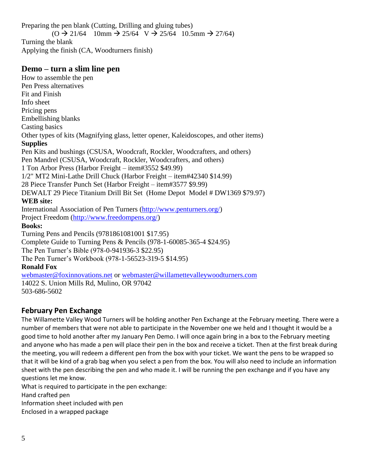Preparing the pen blank (Cutting, Drilling and gluing tubes)  $(O \rightarrow 21/64$  10mm  $\rightarrow 25/64$  V  $\rightarrow 25/64$  10.5mm  $\rightarrow 27/64$ ) Turning the blank Applying the finish (CA, Woodturners finish)

#### **Demo – turn a slim line pen**

How to assemble the pen Pen Press alternatives Fit and Finish Info sheet Pricing pens Embellishing blanks Casting basics Other types of kits (Magnifying glass, letter opener, Kaleidoscopes, and other items) **Supplies** Pen Kits and bushings (CSUSA, Woodcraft, Rockler, Woodcrafters, and others) Pen Mandrel (CSUSA, Woodcraft, Rockler, Woodcrafters, and others) 1 Ton Arbor Press (Harbor Freight – item#3552 \$49.99) 1/2" MT2 Mini-Lathe Drill Chuck (Harbor Freight – item#42340 \$14.99) 28 Piece Transfer Punch Set (Harbor Freight – item#3577 \$9.99) DEWALT 29 Piece Titanium Drill Bit Set (Home Depot Model # DW1369 \$79.97) **WEB site:** International Association of Pen Turners [\(http://www.penturners.org/\)](http://www.penturners.org/) Project Freedom [\(http://www.freedompens.org/\)](http://www.freedompens.org/) **Books:** Turning Pens and Pencils (9781861081001 \$17.95) Complete Guide to Turning Pens & Pencils (978-1-60085-365-4 \$24.95) The Pen Turner's Bible (978-0-941936-3 \$22.95) The Pen Turner's Workbook (978-1-56523-319-5 \$14.95) **Ronald Fox** [webmaster@foxinnovations.net](mailto:webmaster@foxinnovations.net) or [webmaster@willamettevalleywoodturners.com](mailto:webmaster@willamettevalleywoodturners.com) 14022 S. Union Mills Rd, Mulino, OR 97042

## 503-686-5602

## **February Pen Exchange**

The Willamette Valley Wood Turners will be holding another Pen Exchange at the February meeting. There were a number of members that were not able to participate in the November one we held and I thought it would be a good time to hold another after my January Pen Demo. I will once again bring in a box to the February meeting and anyone who has made a pen will place their pen in the box and receive a ticket. Then at the first break during the meeting, you will redeem a different pen from the box with your ticket. We want the pens to be wrapped so that it will be kind of a grab bag when you select a pen from the box. You will also need to include an information sheet with the pen describing the pen and who made it. I will be running the pen exchange and if you have any questions let me know.

What is required to participate in the pen exchange:

Hand crafted pen

Information sheet included with pen

Enclosed in a wrapped package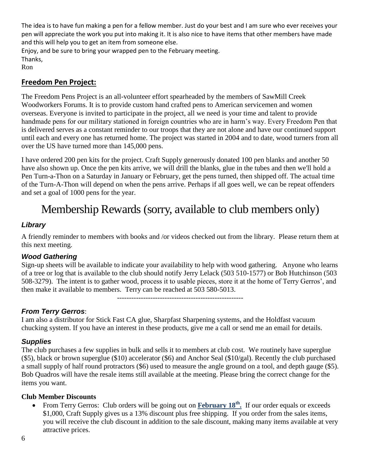The idea is to have fun making a pen for a fellow member. Just do your best and I am sure who ever receives your pen will appreciate the work you put into making it. It is also nice to have items that other members have made and this will help you to get an item from someone else.

Enjoy, and be sure to bring your wrapped pen to the February meeting. Thanks, Ron

### **Freedom Pen Project:**

The Freedom Pens Project is an all-volunteer effort spearheaded by the members of SawMill Creek Woodworkers Forums. It is to provide custom hand crafted pens to American servicemen and women overseas. Everyone is invited to participate in the project, all we need is your time and talent to provide handmade pens for our military stationed in foreign countries who are in harm's way. Every Freedom Pen that is delivered serves as a constant reminder to our troops that they are not alone and have our continued support until each and every one has returned home. The project was started in 2004 and to date, wood turners from all over the US have turned more than 145,000 pens.

I have ordered 200 pen kits for the project. Craft Supply generously donated 100 pen blanks and another 50 have also shown up. Once the pen kits arrive, we will drill the blanks, glue in the tubes and then we'll hold a Pen Turn-a-Thon on a Saturday in January or February, get the pens turned, then shipped off. The actual time of the Turn-A-Thon will depend on when the pens arrive. Perhaps if all goes well, we can be repeat offenders and set a goal of 1000 pens for the year.

## Membership Rewards (sorry, available to club members only)

#### *Library*

A friendly reminder to members with books and /or videos checked out from the library. Please return them at this next meeting.

#### *Wood Gathering*

Sign-up sheets will be available to indicate your availability to help with wood gathering. Anyone who learns of a tree or log that is available to the club should notify Jerry Lelack (503 510-1577) or Bob Hutchinson (503 508-3279). The intent is to gather wood, process it to usable pieces, store it at the home of Terry Gerros', and then make it available to members. Terry can be reached at 503 580-5013.

-----------------------------------------------------

### *From Terry Gerros*:

I am also a distributor for Stick Fast CA glue, Sharpfast Sharpening systems, and the Holdfast vacuum chucking system. If you have an interest in these products, give me a call or send me an email for details.

#### *Supplies*

The club purchases a few supplies in bulk and sells it to members at club cost. We routinely have superglue (\$5), black or brown superglue (\$10) accelerator (\$6) and Anchor Seal (\$10/gal). Recently the club purchased a small supply of half round protractors (\$6) used to measure the angle ground on a tool, and depth gauge (\$5). Bob Quadros will have the resale items still available at the meeting. Please bring the correct change for the items you want.

#### **Club Member Discounts**

• From Terry Gerros: Club orders will be going out on **February 18<sup>th</sup>**. If our order equals or exceeds \$1,000, Craft Supply gives us a 13% discount plus free shipping. If you order from the sales items, you will receive the club discount in addition to the sale discount, making many items available at very attractive prices.